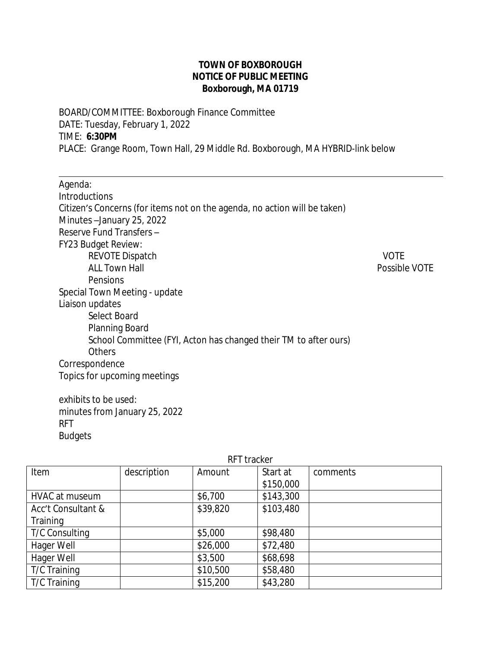## **TOWN OF BOXBOROUGH NOTICE OF PUBLIC MEETING Boxborough, MA 01719**

BOARD/COMMITTEE: Boxborough Finance Committee DATE: Tuesday, February 1, 2022 TIME: **6:30PM** PLACE: Grange Room, Town Hall, 29 Middle Rd. Boxborough, MA HYBRID-link below

Agenda: Introductions Citizen's Concerns (for items not on the agenda, no action will be taken) Minutes –January 25, 2022 Reserve Fund Transfers – FY23 Budget Review: REVOTE Dispatch VOTE ALL Town Hall **ALL Town Hall** Pensions Special Town Meeting - update Liaison updates Select Board Planning Board School Committee (FYI, Acton has changed their TM to after ours) **Others** Correspondence Topics for upcoming meetings

exhibits to be used: minutes from January 25, 2022 RFT Budgets

 $\overline{a}$ 

| IN I UUNU          |             |          |           |          |
|--------------------|-------------|----------|-----------|----------|
| Item               | description | Amount   | Start at  | comments |
|                    |             |          | \$150,000 |          |
| HVAC at museum     |             | \$6,700  | \$143,300 |          |
| Acc't Consultant & |             | \$39,820 | \$103,480 |          |
| Training           |             |          |           |          |
| T/C Consulting     |             | \$5,000  | \$98,480  |          |
| Hager Well         |             | \$26,000 | \$72,480  |          |
| Hager Well         |             | \$3,500  | \$68,698  |          |
| T/C Training       |             | \$10,500 | \$58,480  |          |
| T/C Training       |             | \$15,200 | \$43,280  |          |

## RFT tracker